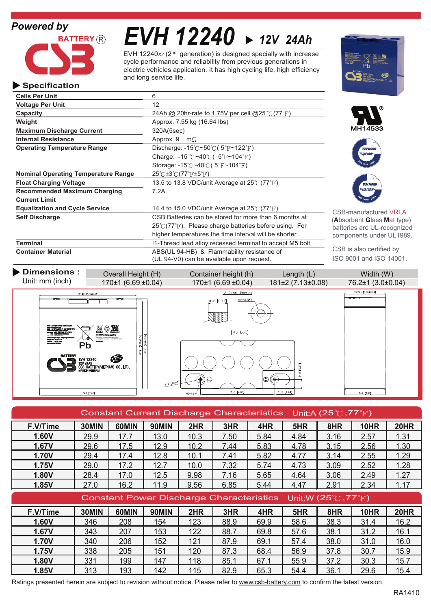# *Powered by*

**Specification**



**Operating Temperature Range**

**Cells Per Unit** 6 **Voltage Per Unit** 12

**Maximum Discharge Current** 320A(5sec) **Internal Resistance** Approx. 9 m $\Omega$ 

**Recommended Maximum Charging** 7.2A

**Capacity** 24Ah @ 20hr-rate to 1.75V per cell @25 °C (77 <sup>°</sup>F)

**Float Charging Voltage** 13.5 to 13.8 VDC/unit Average at 25°C (77°F)

**Equalization and Cycle Service** 14.4 to 15.0 VDC/unit Average at 25°C (77°F)

**Self Discharge** CSB Batteries can be stored for more than 6 months at

**Weight Approx.** 7.55 kg (16.64 lbs)

**Nominal Operating Temperature Range 25°C ±3°C (77°F ±5°F)** 

*EVH 12240 12V 24Ah*

EVH 12240x<sub>2</sub> (2<sup>nd</sup> generation) is designed specially with increase electric vehicles application. It has high cycling life, high efficiency and long service life. cycle performance and reliability from previous generations in

> Discharge:  $-15^{\circ}$ C ~50 $^{\circ}$ C (5 $^{\circ}$ F ~122 $^{\circ}$ F) Charge:  $-15 \degree C \sim 40 \degree C$  ( $5 \degree F \sim 104 \degree F$ ) Storage: -15 $\degree$ C ~40 $\degree$ C (5 $\degree$ F ~104 $\degree$ F)





CSB-manufactured VRLA (**A**bsorbent **G**lass **M**at type) batteries are UL-recognized components under UL1989.

CSB is also certified by ISO 9001 and ISO 14001.

**Terminal Internal Internal Internal Internal lead allow recessed terminal to accept M5 bolt Container Material** ABS(UL 94-HB) & Flammability resistance of

**Current Limit**



 $25^{\circ}$  (77 $^{\circ}$ F). Please charge batteries before using. For higher temperatures the time interval will be shorter.

|          | Constant Current Discharge Characteristics Unit:A (25 $\degree$ C, 77 $\degree$ F) |       |              |                                                                                  |      |      |      |      |             |             |  |
|----------|------------------------------------------------------------------------------------|-------|--------------|----------------------------------------------------------------------------------|------|------|------|------|-------------|-------------|--|
| F.V/Time | 30MIN                                                                              | 60MIN | <b>90MIN</b> | 2HR                                                                              | 3HR  | 4HR  | 5HR  | 8HR  | <b>10HR</b> | <b>20HR</b> |  |
| 1.60V    | 29.9                                                                               | 17.7  | 13.0         | 10.3                                                                             | 7.50 | 5.84 | 4.84 | 3.16 | 2.57        | 1.31        |  |
| 1.67V    | 29.6                                                                               | 17.5  | 12.9         | 10.2                                                                             | 7.44 | 5.83 | 4.78 | 3.15 | 2.56        | 1.30        |  |
| 1.70V    | 29.4                                                                               | 17.4  | 12.8         | 10.1                                                                             | 7.41 | 5.82 | 4.77 | 3.14 | 2.55        | 1.29        |  |
| 1.75V    | 29.0                                                                               | 17.2  | 12.7         | 10.0                                                                             | 7.32 | 5.74 | 4.73 | 3.09 | 2.52        | 1.28        |  |
| 1.80V    | 28.4                                                                               | 17.0  | 12.5         | 9.98                                                                             | 7.16 | 5.65 | 4.64 | 3.06 | 2.49        | 1.27        |  |
| 1.85V    | 27.0                                                                               | 16.2  | 11.9         | 9.56                                                                             | 6.85 | 5.44 | 4.47 | 2.91 | 2.34        | 1.17        |  |
|          |                                                                                    |       |              | Constant Power Discharge Characteristics Unit:W (25 $\degree$ C, 77 $\degree$ F) |      |      |      |      |             |             |  |
|          |                                                                                    |       |              |                                                                                  |      |      |      |      |             |             |  |
| F.V/Time | 30MIN                                                                              | 60MIN | <b>90MIN</b> | 2HR                                                                              | 3HR  | 4HR  | 5HR  | 8HR  | <b>10HR</b> | <b>20HR</b> |  |
| 1.60V    | 346                                                                                | 208   | 154          | 123                                                                              | 88.9 | 69.9 | 58.6 | 38.3 | 31.4        | 16.2        |  |
| 1.67V    | 343                                                                                | 207   | 153          | 122                                                                              | 88.7 | 69.8 | 57.6 | 38.1 | 31.2        | 16.1        |  |
| 1.70V    | 340                                                                                | 206   | 152          | 121                                                                              | 87.9 | 69.1 | 57.4 | 38.0 | 31.0        | 16.0        |  |
| 1.75V    | 338                                                                                | 205   | 151          | 120                                                                              | 87.3 | 68.4 | 56.9 | 37.8 | 30.7        | 15.9        |  |
| 1.80V    | 331                                                                                | 199   | 147          | 118                                                                              | 85.1 | 67.1 | 55.9 | 37.2 | 30.3        | 15.7        |  |

Ratings presented herein are subject to revision without notice. Please refer to www.csb-battery.com to confirm the latest version.